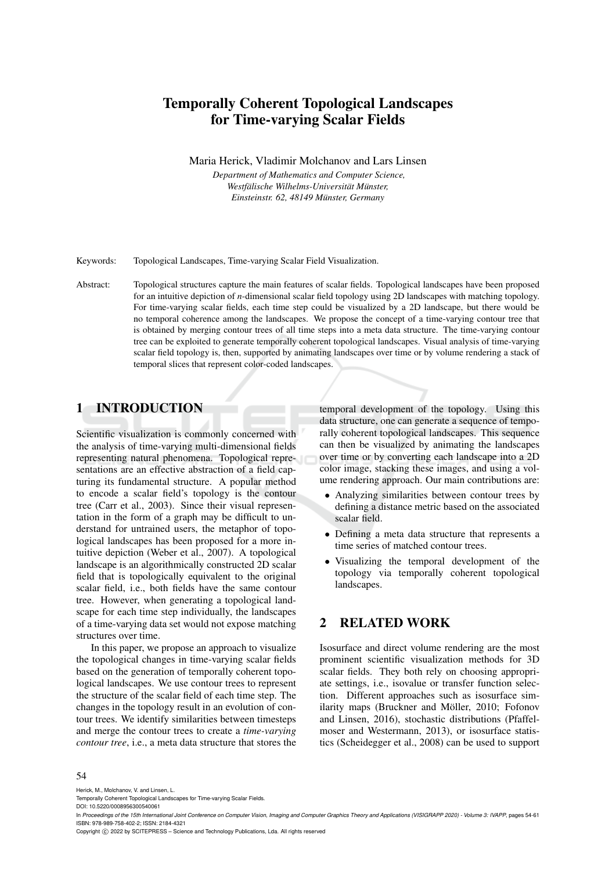# Temporally Coherent Topological Landscapes for Time-varying Scalar Fields

Maria Herick, Vladimir Molchanov and Lars Linsen

*Department of Mathematics and Computer Science,*  $We still is the Willhelms-Universität Münster,$ *Einsteinstr. 62, 48149 Munster, Germany ¨*

Keywords: Topological Landscapes, Time-varying Scalar Field Visualization.

Abstract: Topological structures capture the main features of scalar fields. Topological landscapes have been proposed for an intuitive depiction of *n*-dimensional scalar field topology using 2D landscapes with matching topology. For time-varying scalar fields, each time step could be visualized by a 2D landscape, but there would be no temporal coherence among the landscapes. We propose the concept of a time-varying contour tree that is obtained by merging contour trees of all time steps into a meta data structure. The time-varying contour tree can be exploited to generate temporally coherent topological landscapes. Visual analysis of time-varying scalar field topology is, then, supported by animating landscapes over time or by volume rendering a stack of temporal slices that represent color-coded landscapes.

# 1 INTRODUCTION

Scientific visualization is commonly concerned with the analysis of time-varying multi-dimensional fields representing natural phenomena. Topological representations are an effective abstraction of a field capturing its fundamental structure. A popular method to encode a scalar field's topology is the contour tree (Carr et al., 2003). Since their visual representation in the form of a graph may be difficult to understand for untrained users, the metaphor of topological landscapes has been proposed for a more intuitive depiction (Weber et al., 2007). A topological landscape is an algorithmically constructed 2D scalar field that is topologically equivalent to the original scalar field, i.e., both fields have the same contour tree. However, when generating a topological landscape for each time step individually, the landscapes of a time-varying data set would not expose matching structures over time.

In this paper, we propose an approach to visualize the topological changes in time-varying scalar fields based on the generation of temporally coherent topological landscapes. We use contour trees to represent the structure of the scalar field of each time step. The changes in the topology result in an evolution of contour trees. We identify similarities between timesteps and merge the contour trees to create a *time-varying contour tree*, i.e., a meta data structure that stores the temporal development of the topology. Using this data structure, one can generate a sequence of temporally coherent topological landscapes. This sequence can then be visualized by animating the landscapes over time or by converting each landscape into a 2D color image, stacking these images, and using a volume rendering approach. Our main contributions are:

- Analyzing similarities between contour trees by defining a distance metric based on the associated scalar field.
- Defining a meta data structure that represents a time series of matched contour trees.
- Visualizing the temporal development of the topology via temporally coherent topological landscapes.

## 2 RELATED WORK

Isosurface and direct volume rendering are the most prominent scientific visualization methods for 3D scalar fields. They both rely on choosing appropriate settings, i.e., isovalue or transfer function selection. Different approaches such as isosurface similarity maps (Bruckner and Möller, 2010; Fofonov and Linsen, 2016), stochastic distributions (Pfaffelmoser and Westermann, 2013), or isosurface statistics (Scheidegger et al., 2008) can be used to support

#### 54

Herick, M., Molchanov, V. and Linsen, L.

DOI: 10.5220/0008956300540061

Copyright (C) 2022 by SCITEPRESS - Science and Technology Publications, Lda. All rights reserved

Temporally Coherent Topological Landscapes for Time-varying Scalar Fields.

In *Proceedings of the 15th International Joint Conference on Computer Vision, Imaging and Computer Graphics Theory and Applications (VISIGRAPP 2020) - Volume 3: IVAPP*, pages 54-61 ISBN: 978-989-758-402-2; ISSN: 2184-4321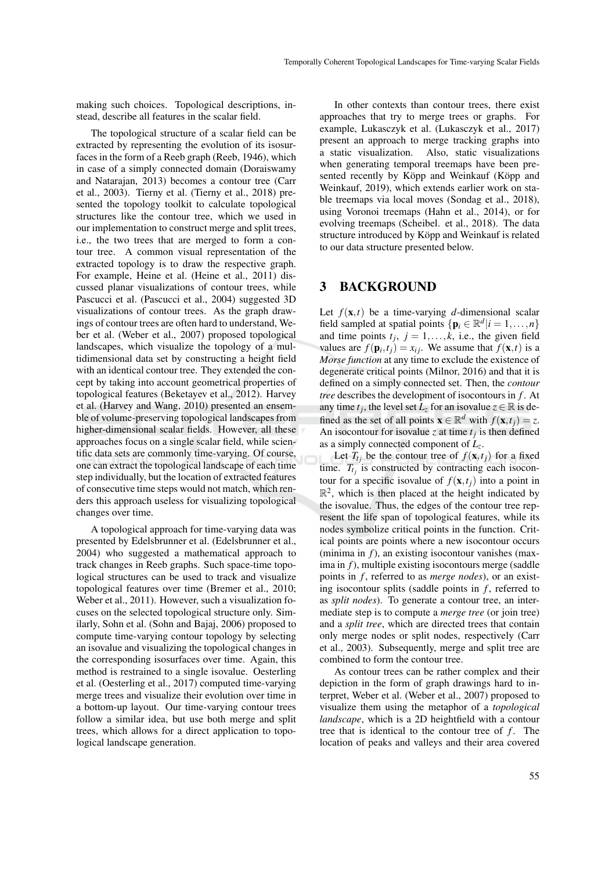making such choices. Topological descriptions, instead, describe all features in the scalar field.

The topological structure of a scalar field can be extracted by representing the evolution of its isosurfaces in the form of a Reeb graph (Reeb, 1946), which in case of a simply connected domain (Doraiswamy and Natarajan, 2013) becomes a contour tree (Carr et al., 2003). Tierny et al. (Tierny et al., 2018) presented the topology toolkit to calculate topological structures like the contour tree, which we used in our implementation to construct merge and split trees, i.e., the two trees that are merged to form a contour tree. A common visual representation of the extracted topology is to draw the respective graph. For example, Heine et al. (Heine et al., 2011) discussed planar visualizations of contour trees, while Pascucci et al. (Pascucci et al., 2004) suggested 3D visualizations of contour trees. As the graph drawings of contour trees are often hard to understand, Weber et al. (Weber et al., 2007) proposed topological landscapes, which visualize the topology of a multidimensional data set by constructing a height field with an identical contour tree. They extended the concept by taking into account geometrical properties of topological features (Beketayev et al., 2012). Harvey et al. (Harvey and Wang, 2010) presented an ensemble of volume-preserving topological landscapes from higher-dimensional scalar fields. However, all these approaches focus on a single scalar field, while scientific data sets are commonly time-varying. Of course, one can extract the topological landscape of each time step individually, but the location of extracted features of consecutive time steps would not match, which renders this approach useless for visualizing topological changes over time.

A topological approach for time-varying data was presented by Edelsbrunner et al. (Edelsbrunner et al., 2004) who suggested a mathematical approach to track changes in Reeb graphs. Such space-time topological structures can be used to track and visualize topological features over time (Bremer et al., 2010; Weber et al., 2011). However, such a visualization focuses on the selected topological structure only. Similarly, Sohn et al. (Sohn and Bajaj, 2006) proposed to compute time-varying contour topology by selecting an isovalue and visualizing the topological changes in the corresponding isosurfaces over time. Again, this method is restrained to a single isovalue. Oesterling et al. (Oesterling et al., 2017) computed time-varying merge trees and visualize their evolution over time in a bottom-up layout. Our time-varying contour trees follow a similar idea, but use both merge and split trees, which allows for a direct application to topological landscape generation.

In other contexts than contour trees, there exist approaches that try to merge trees or graphs. For example, Lukasczyk et al. (Lukasczyk et al., 2017) present an approach to merge tracking graphs into a static visualization. Also, static visualizations when generating temporal treemaps have been presented recently by Köpp and Weinkauf (Köpp and Weinkauf, 2019), which extends earlier work on stable treemaps via local moves (Sondag et al., 2018), using Voronoi treemaps (Hahn et al., 2014), or for evolving treemaps (Scheibel. et al., 2018). The data structure introduced by Köpp and Weinkauf is related to our data structure presented below.

## 3 BACKGROUND

Let  $f(\mathbf{x},t)$  be a time-varying *d*-dimensional scalar field sampled at spatial points  $\{ \mathbf{p}_i \in \mathbb{R}^d | i = 1, ..., n \}$ and time points  $t_j$ ,  $j = 1, \ldots, k$ , i.e., the given field values are  $f(\mathbf{p}_i, t_j) = x_{ij}$ . We assume that  $f(\mathbf{x}, t)$  is a *Morse function* at any time to exclude the existence of degenerate critical points (Milnor, 2016) and that it is defined on a simply connected set. Then, the *contour tree* describes the development of isocontours in *f* . At any time  $t_j$ , the level set  $\overline{L}_z$  for an isovalue  $z \in \mathbb{R}$  is defined as the set of all points  $\mathbf{x} \in \mathbb{R}^d$  with  $f(\mathbf{x}, t_j) = z$ . An isocontour for isovalue *z* at time  $t_j$  is then defined as a simply connected component of *L<sup>z</sup>* .

Let  $T_{t_j}$  be the contour tree of  $f(\mathbf{x}, t_j)$  for a fixed time.  $T_{t_j}$  is constructed by contracting each isocontour for a specific isovalue of  $f(\mathbf{x}, t_i)$  into a point in  $\mathbb{R}^2$ , which is then placed at the height indicated by the isovalue. Thus, the edges of the contour tree represent the life span of topological features, while its nodes symbolize critical points in the function. Critical points are points where a new isocontour occurs (minima in *f*), an existing isocontour vanishes (maxima in *f*), multiple existing isocontours merge (saddle points in *f* , referred to as *merge nodes*), or an existing isocontour splits (saddle points in  $f$ , referred to as *split nodes*). To generate a contour tree, an intermediate step is to compute a *merge tree* (or join tree) and a *split tree*, which are directed trees that contain only merge nodes or split nodes, respectively (Carr et al., 2003). Subsequently, merge and split tree are combined to form the contour tree.

As contour trees can be rather complex and their depiction in the form of graph drawings hard to interpret, Weber et al. (Weber et al., 2007) proposed to visualize them using the metaphor of a *topological landscape*, which is a 2D heightfield with a contour tree that is identical to the contour tree of *f*. The location of peaks and valleys and their area covered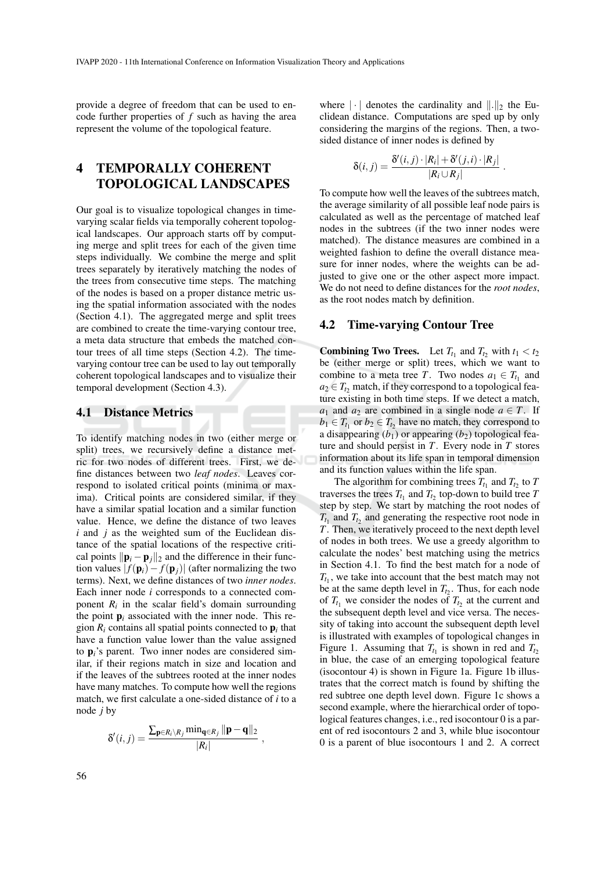provide a degree of freedom that can be used to encode further properties of *f* such as having the area represent the volume of the topological feature.

# 4 TEMPORALLY COHERENT TOPOLOGICAL LANDSCAPES

Our goal is to visualize topological changes in timevarying scalar fields via temporally coherent topological landscapes. Our approach starts off by computing merge and split trees for each of the given time steps individually. We combine the merge and split trees separately by iteratively matching the nodes of the trees from consecutive time steps. The matching of the nodes is based on a proper distance metric using the spatial information associated with the nodes (Section 4.1). The aggregated merge and split trees are combined to create the time-varying contour tree, a meta data structure that embeds the matched contour trees of all time steps (Section 4.2). The timevarying contour tree can be used to lay out temporally coherent topological landscapes and to visualize their temporal development (Section 4.3).

#### 4.1 Distance Metrics

To identify matching nodes in two (either merge or split) trees, we recursively define a distance metric for two nodes of different trees. First, we define distances between two *leaf nodes*. Leaves correspond to isolated critical points (minima or maxima). Critical points are considered similar, if they have a similar spatial location and a similar function value. Hence, we define the distance of two leaves *i* and *j* as the weighted sum of the Euclidean distance of the spatial locations of the respective critical points  $\|\mathbf{p}_i - \mathbf{p}_j\|_2$  and the difference in their function values  $| f(\mathbf{p}_i) - f(\mathbf{p}_j) |$  (after normalizing the two terms). Next, we define distances of two *inner nodes*. Each inner node *i* corresponds to a connected component  $R_i$  in the scalar field's domain surrounding the point  $\mathbf{p}_i$  associated with the inner node. This region  $R_i$  contains all spatial points connected to  $p_i$  that have a function value lower than the value assigned to p*i*'s parent. Two inner nodes are considered similar, if their regions match in size and location and if the leaves of the subtrees rooted at the inner nodes have many matches. To compute how well the regions match, we first calculate a one-sided distance of *i* to a node *j* by

$$
\delta'(i,j) = \frac{\sum_{\mathbf{p} \in R_i \setminus R_j} \min_{\mathbf{q} \in R_j} \|\mathbf{p} - \mathbf{q}\|_2}{|R_i|},
$$

where  $\|\cdot\|$  denotes the cardinality and  $\|\cdot\|_2$  the Euclidean distance. Computations are sped up by only considering the margins of the regions. Then, a twosided distance of inner nodes is defined by

$$
\delta(i,j) = \frac{\delta'(i,j) \cdot |R_i| + \delta'(j,i) \cdot |R_j|}{|R_i \cup R_j|}.
$$

To compute how well the leaves of the subtrees match, the average similarity of all possible leaf node pairs is calculated as well as the percentage of matched leaf nodes in the subtrees (if the two inner nodes were matched). The distance measures are combined in a weighted fashion to define the overall distance measure for inner nodes, where the weights can be adjusted to give one or the other aspect more impact. We do not need to define distances for the *root nodes*, as the root nodes match by definition.

#### 4.2 Time-varying Contour Tree

**Combining Two Trees.** Let  $T_{t_1}$  and  $T_{t_2}$  with  $t_1 < t_2$ be (either merge or split) trees, which we want to combine to a meta tree *T*. Two nodes  $a_1 \in T_{t_1}$  and  $a_2 \in T_t$ <sub>2</sub> match, if they correspond to a topological feature existing in both time steps. If we detect a match, *a*<sub>1</sub> and *a*<sub>2</sub> are combined in a single node  $a \in T$ . If  $b_1 \in T_{t_1}$  or  $b_2 \in T_{t_2}$  have no match, they correspond to a disappearing  $(b_1)$  or appearing  $(b_2)$  topological feature and should persist in *T*. Every node in *T* stores information about its life span in temporal dimension and its function values within the life span.

The algorithm for combining trees  $T_{t_1}$  and  $T_{t_2}$  to  $T$ traverses the trees  $T_{t_1}$  and  $T_{t_2}$  top-down to build tree  $T$ step by step. We start by matching the root nodes of  $T_{t_1}$  and  $T_{t_2}$  and generating the respective root node in *T*. Then, we iteratively proceed to the next depth level of nodes in both trees. We use a greedy algorithm to calculate the nodes' best matching using the metrics in Section 4.1. To find the best match for a node of  $T_{t_1}$ , we take into account that the best match may not be at the same depth level in  $T_{t_2}$ . Thus, for each node of  $T_{t_1}$  we consider the nodes of  $T_{t_2}$  at the current and the subsequent depth level and vice versa. The necessity of taking into account the subsequent depth level is illustrated with examples of topological changes in Figure 1. Assuming that  $T_{t_1}$  is shown in red and  $T_{t_2}$ in blue, the case of an emerging topological feature (isocontour 4) is shown in Figure 1a. Figure 1b illustrates that the correct match is found by shifting the red subtree one depth level down. Figure 1c shows a second example, where the hierarchical order of topological features changes, i.e., red isocontour 0 is a parent of red isocontours 2 and 3, while blue isocontour 0 is a parent of blue isocontours 1 and 2. A correct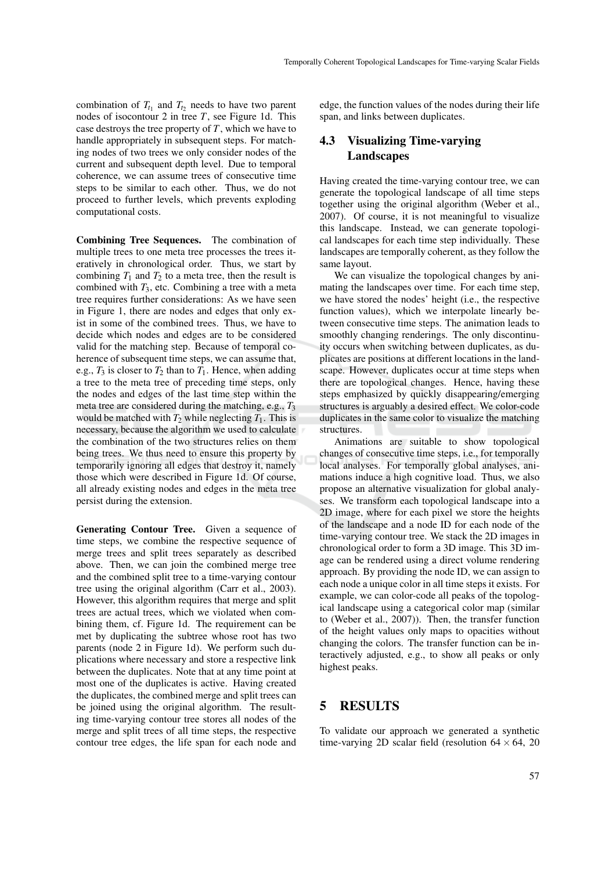combination of  $T_{t_1}$  and  $T_{t_2}$  needs to have two parent nodes of isocontour 2 in tree *T*, see Figure 1d. This case destroys the tree property of *T*, which we have to handle appropriately in subsequent steps. For matching nodes of two trees we only consider nodes of the current and subsequent depth level. Due to temporal coherence, we can assume trees of consecutive time steps to be similar to each other. Thus, we do not proceed to further levels, which prevents exploding computational costs.

Combining Tree Sequences. The combination of multiple trees to one meta tree processes the trees iteratively in chronological order. Thus, we start by combining  $T_1$  and  $T_2$  to a meta tree, then the result is combined with  $T_3$ , etc. Combining a tree with a meta tree requires further considerations: As we have seen in Figure 1, there are nodes and edges that only exist in some of the combined trees. Thus, we have to decide which nodes and edges are to be considered valid for the matching step. Because of temporal coherence of subsequent time steps, we can assume that, e.g.,  $T_3$  is closer to  $T_2$  than to  $T_1$ . Hence, when adding a tree to the meta tree of preceding time steps, only the nodes and edges of the last time step within the meta tree are considered during the matching, e.g.,  $T_3$ would be matched with  $T_2$  while neglecting  $T_1$ . This is necessary, because the algorithm we used to calculate the combination of the two structures relies on them being trees. We thus need to ensure this property by temporarily ignoring all edges that destroy it, namely those which were described in Figure 1d. Of course, all already existing nodes and edges in the meta tree persist during the extension.

Generating Contour Tree. Given a sequence of time steps, we combine the respective sequence of merge trees and split trees separately as described above. Then, we can join the combined merge tree and the combined split tree to a time-varying contour tree using the original algorithm (Carr et al., 2003). However, this algorithm requires that merge and split trees are actual trees, which we violated when combining them, cf. Figure 1d. The requirement can be met by duplicating the subtree whose root has two parents (node 2 in Figure 1d). We perform such duplications where necessary and store a respective link between the duplicates. Note that at any time point at most one of the duplicates is active. Having created the duplicates, the combined merge and split trees can be joined using the original algorithm. The resulting time-varying contour tree stores all nodes of the merge and split trees of all time steps, the respective contour tree edges, the life span for each node and

edge, the function values of the nodes during their life span, and links between duplicates.

# 4.3 Visualizing Time-varying **Landscapes**

Having created the time-varying contour tree, we can generate the topological landscape of all time steps together using the original algorithm (Weber et al., 2007). Of course, it is not meaningful to visualize this landscape. Instead, we can generate topological landscapes for each time step individually. These landscapes are temporally coherent, as they follow the same layout.

We can visualize the topological changes by animating the landscapes over time. For each time step, we have stored the nodes' height (i.e., the respective function values), which we interpolate linearly between consecutive time steps. The animation leads to smoothly changing renderings. The only discontinuity occurs when switching between duplicates, as duplicates are positions at different locations in the landscape. However, duplicates occur at time steps when there are topological changes. Hence, having these steps emphasized by quickly disappearing/emerging structures is arguably a desired effect. We color-code duplicates in the same color to visualize the matching structures.

Animations are suitable to show topological changes of consecutive time steps, i.e., for temporally local analyses. For temporally global analyses, animations induce a high cognitive load. Thus, we also propose an alternative visualization for global analyses. We transform each topological landscape into a 2D image, where for each pixel we store the heights of the landscape and a node ID for each node of the time-varying contour tree. We stack the 2D images in chronological order to form a 3D image. This 3D image can be rendered using a direct volume rendering approach. By providing the node ID, we can assign to each node a unique color in all time steps it exists. For example, we can color-code all peaks of the topological landscape using a categorical color map (similar to (Weber et al., 2007)). Then, the transfer function of the height values only maps to opacities without changing the colors. The transfer function can be interactively adjusted, e.g., to show all peaks or only highest peaks.

# 5 RESULTS

To validate our approach we generated a synthetic time-varying 2D scalar field (resolution  $64 \times 64$ , 20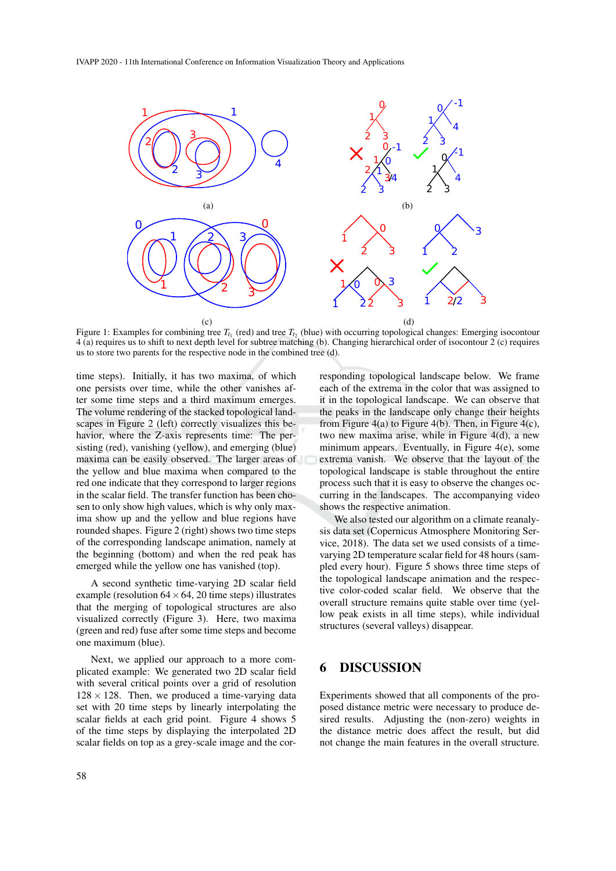

Figure 1: Examples for combining tree  $T_{t_1}$  (red) and tree  $T_{t_2}$  (blue) with occurring topological changes: Emerging isocontour 4 (a) requires us to shift to next depth level for subtree matching (b). Changing hierarchical order of isocontour 2 (c) requires us to store two parents for the respective node in the combined tree (d).

time steps). Initially, it has two maxima, of which one persists over time, while the other vanishes after some time steps and a third maximum emerges. The volume rendering of the stacked topological landscapes in Figure 2 (left) correctly visualizes this behavior, where the Z-axis represents time: The persisting (red), vanishing (yellow), and emerging (blue) maxima can be easily observed. The larger areas of the yellow and blue maxima when compared to the red one indicate that they correspond to larger regions in the scalar field. The transfer function has been chosen to only show high values, which is why only maxima show up and the yellow and blue regions have rounded shapes. Figure 2 (right) shows two time steps of the corresponding landscape animation, namely at the beginning (bottom) and when the red peak has emerged while the yellow one has vanished (top).

A second synthetic time-varying 2D scalar field example (resolution  $64 \times 64$ , 20 time steps) illustrates that the merging of topological structures are also visualized correctly (Figure 3). Here, two maxima (green and red) fuse after some time steps and become one maximum (blue).

Next, we applied our approach to a more complicated example: We generated two 2D scalar field with several critical points over a grid of resolution  $128 \times 128$ . Then, we produced a time-varying data set with 20 time steps by linearly interpolating the scalar fields at each grid point. Figure 4 shows 5 of the time steps by displaying the interpolated 2D scalar fields on top as a grey-scale image and the corresponding topological landscape below. We frame each of the extrema in the color that was assigned to it in the topological landscape. We can observe that the peaks in the landscape only change their heights from Figure  $4(a)$  to Figure  $4(b)$ . Then, in Figure  $4(c)$ , two new maxima arise, while in Figure 4(d), a new minimum appears. Eventually, in Figure 4(e), some extrema vanish. We observe that the layout of the topological landscape is stable throughout the entire process such that it is easy to observe the changes occurring in the landscapes. The accompanying video shows the respective animation.

We also tested our algorithm on a climate reanalysis data set (Copernicus Atmosphere Monitoring Service, 2018). The data set we used consists of a timevarying 2D temperature scalar field for 48 hours (sampled every hour). Figure 5 shows three time steps of the topological landscape animation and the respective color-coded scalar field. We observe that the overall structure remains quite stable over time (yellow peak exists in all time steps), while individual structures (several valleys) disappear.

## **DISCUSSION**

Experiments showed that all components of the proposed distance metric were necessary to produce desired results. Adjusting the (non-zero) weights in the distance metric does affect the result, but did not change the main features in the overall structure.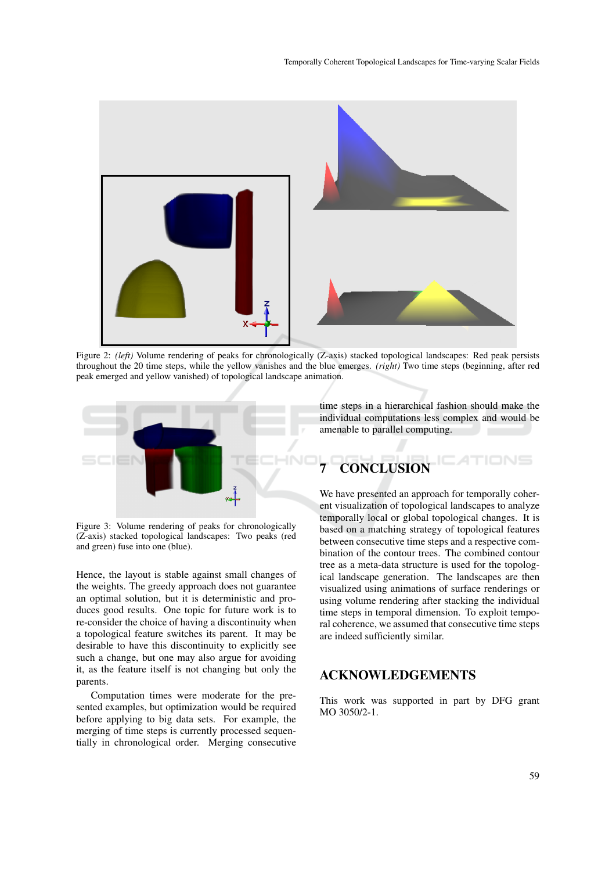

Figure 2: *(left)* Volume rendering of peaks for chronologically (Z-axis) stacked topological landscapes: Red peak persists throughout the 20 time steps, while the yellow vanishes and the blue emerges. *(right)* Two time steps (beginning, after red peak emerged and yellow vanished) of topological landscape animation.



Figure 3: Volume rendering of peaks for chronologically (Z-axis) stacked topological landscapes: Two peaks (red and green) fuse into one (blue).

Hence, the layout is stable against small changes of the weights. The greedy approach does not guarantee an optimal solution, but it is deterministic and produces good results. One topic for future work is to re-consider the choice of having a discontinuity when a topological feature switches its parent. It may be desirable to have this discontinuity to explicitly see such a change, but one may also argue for avoiding it, as the feature itself is not changing but only the parents.

Computation times were moderate for the presented examples, but optimization would be required before applying to big data sets. For example, the merging of time steps is currently processed sequentially in chronological order. Merging consecutive time steps in a hierarchical fashion should make the individual computations less complex and would be amenable to parallel computing.

# **CONCLUSION**

We have presented an approach for temporally coherent visualization of topological landscapes to analyze temporally local or global topological changes. It is based on a matching strategy of topological features between consecutive time steps and a respective combination of the contour trees. The combined contour tree as a meta-data structure is used for the topological landscape generation. The landscapes are then visualized using animations of surface renderings or using volume rendering after stacking the individual time steps in temporal dimension. To exploit temporal coherence, we assumed that consecutive time steps are indeed sufficiently similar.

# ACKNOWLEDGEMENTS

This work was supported in part by DFG grant MO 3050/2-1.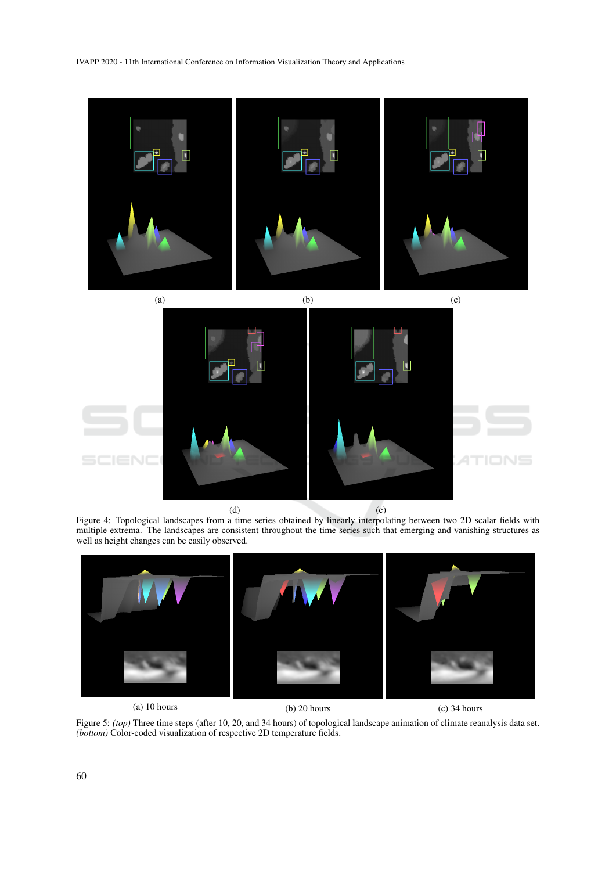

Figure 4: Topological landscapes from a time series obtained by linearly interpolating between two 2D scalar fields with multiple extrema. The landscapes are consistent throughout the time series such that emerging and vanishing structures as well as height changes can be easily observed.



Figure 5: *(top)* Three time steps (after 10, 20, and 34 hours) of topological landscape animation of climate reanalysis data set. *(bottom)* Color-coded visualization of respective 2D temperature fields.